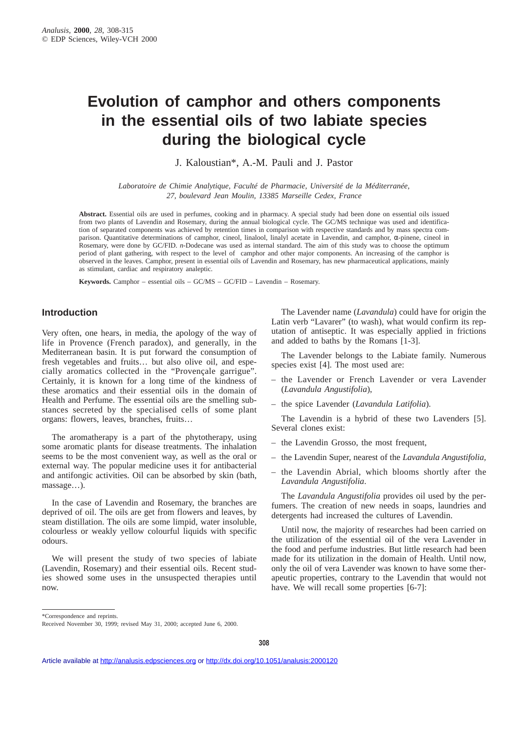# **Evolution of camphor and others components in the essential oils of two labiate species during the biological cycle**

J. Kaloustian\*, A.-M. Pauli and J. Pastor

*Laboratoire de Chimie Analytique, Faculté de Pharmacie, Université de la Méditerranée, 27, boulevard Jean Moulin, 13385 Marseille Cedex, France*

**Abstract.** Essential oils are used in perfumes, cooking and in pharmacy. A special study had been done on essential oils issued from two plants of Lavendin and Rosemary, during the annual biological cycle. The GC/MS technique was used and identification of separated components was achieved by retention times in comparison with respective standards and by mass spectra comparison. Quantitative determinations of camphor, cineol, linalool, linalyl acetate in Lavendin, and camphor, α-pinene, cineol in Rosemary, were done by GC/FID. *n*-Dodecane was used as internal standard. The aim of this study was to choose the optimum period of plant gathering, with respect to the level of camphor and other major components. An increasing of the camphor is observed in the leaves. Camphor, present in essential oils of Lavendin and Rosemary, has new pharmaceutical applications, mainly as stimulant, cardiac and respiratory analeptic.

**Keywords.** Camphor – essential oils – GC/MS – GC/FID – Lavendin – Rosemary.

## **Introduction**

Very often, one hears, in media, the apology of the way of life in Provence (French paradox), and generally, in the Mediterranean basin. It is put forward the consumption of fresh vegetables and fruits… but also olive oil, and especially aromatics collected in the "Provençale garrigue". Certainly, it is known for a long time of the kindness of these aromatics and their essential oils in the domain of Health and Perfume. The essential oils are the smelling substances secreted by the specialised cells of some plant organs: flowers, leaves, branches, fruits…

The aromatherapy is a part of the phytotherapy, using some aromatic plants for disease treatments. The inhalation seems to be the most convenient way, as well as the oral or external way. The popular medicine uses it for antibacterial and antifongic activities. Oil can be absorbed by skin (bath, massage…).

In the case of Lavendin and Rosemary, the branches are deprived of oil. The oils are get from flowers and leaves, by steam distillation. The oils are some limpid, water insoluble, colourless or weakly yellow colourful liquids with specific odours.

We will present the study of two species of labiate (Lavendin, Rosemary) and their essential oils. Recent studies showed some uses in the unsuspected therapies until now.

The Lavender name (*Lavandula*) could have for origin the Latin verb "Lavarer" (to wash), what would confirm its reputation of antiseptic. It was especially applied in frictions and added to baths by the Romans [1-3].

The Lavender belongs to the Labiate family. Numerous species exist [4]. The most used are:

- the Lavender or French Lavender or vera Lavender (*Lavandula Angustifolia*),
- the spice Lavender (*Lavandula Latifolia*).

The Lavendin is a hybrid of these two Lavenders [5]. Several clones exist:

- the Lavendin Grosso, the most frequent,
- the Lavendin Super, nearest of the *Lavandula Angustifolia,*
- the Lavendin Abrial, which blooms shortly after the *Lavandula Angustifolia*.

The *Lavandula Angustifolia* provides oil used by the perfumers. The creation of new needs in soaps, laundries and detergents had increased the cultures of Lavendin.

Until now, the majority of researches had been carried on the utilization of the essential oil of the vera Lavender in the food and perfume industries. But little research had been made for its utilization in the domain of Health. Until now, only the oil of vera Lavender was known to have some therapeutic properties, contrary to the Lavendin that would not have. We will recall some properties [6-7]:

\*Correspondence and reprints.

Received November 30, 1999; revised May 31, 2000; accepted June 6, 2000.

Article available at<http://analusis.edpsciences.org> or <http://dx.doi.org/10.1051/analusis:2000120>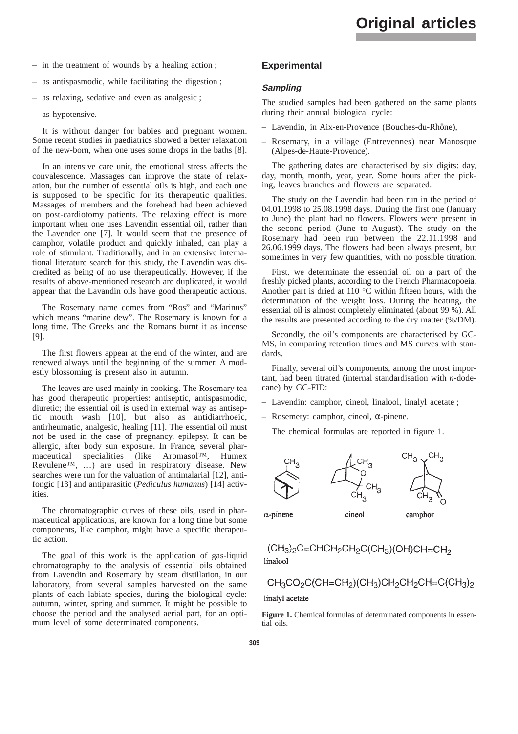- in the treatment of wounds by a healing action ;
- as antispasmodic, while facilitating the digestion ;
- as relaxing, sedative and even as analgesic ;
- as hypotensive.

It is without danger for babies and pregnant women. Some recent studies in paediatrics showed a better relaxation of the new-born, when one uses some drops in the baths [8].

In an intensive care unit, the emotional stress affects the convalescence. Massages can improve the state of relaxation, but the number of essential oils is high, and each one is supposed to be specific for its therapeutic qualities. Massages of members and the forehead had been achieved on post-cardiotomy patients. The relaxing effect is more important when one uses Lavendin essential oil, rather than the Lavender one [7]. It would seem that the presence of camphor, volatile product and quickly inhaled, can play a role of stimulant. Traditionally, and in an extensive international literature search for this study, the Lavendin was discredited as being of no use therapeutically. However, if the results of above-mentioned research are duplicated, it would appear that the Lavandin oils have good therapeutic actions.

The Rosemary name comes from "Ros" and "Marinus" which means "marine dew". The Rosemary is known for a long time. The Greeks and the Romans burnt it as incense [9].

The first flowers appear at the end of the winter, and are renewed always until the beginning of the summer. A modestly blossoming is present also in autumn.

The leaves are used mainly in cooking. The Rosemary tea has good therapeutic properties: antiseptic, antispasmodic, diuretic; the essential oil is used in external way as antiseptic mouth wash [10], but also as antidiarrhoeic, antirheumatic, analgesic, healing [11]. The essential oil must not be used in the case of pregnancy, epilepsy. It can be allergic, after body sun exposure. In France, several pharmaceutical specialities (like Aromasol™, Humex Revulene™, …) are used in respiratory disease. New searches were run for the valuation of antimalarial [12], antifongic [13] and antiparasitic (*Pediculus humanus*) [14] activities.

The chromatographic curves of these oils, used in pharmaceutical applications, are known for a long time but some components, like camphor, might have a specific therapeutic action.

The goal of this work is the application of gas-liquid chromatography to the analysis of essential oils obtained from Lavendin and Rosemary by steam distillation, in our laboratory, from several samples harvested on the same plants of each labiate species, during the biological cycle: autumn, winter, spring and summer. It might be possible to choose the period and the analysed aerial part, for an optimum level of some determinated components.

### **Experimental**

#### **Sampling**

The studied samples had been gathered on the same plants during their annual biological cycle:

- Lavendin, in Aix-en-Provence (Bouches-du-Rhône),
- Rosemary, in a village (Entrevennes) near Manosque (Alpes-de-Haute-Provence).

The gathering dates are characterised by six digits: day, day, month, month, year, year. Some hours after the picking, leaves branches and flowers are separated.

The study on the Lavendin had been run in the period of 04.01.1998 to 25.08.1998 days. During the first one (January to June) the plant had no flowers. Flowers were present in the second period (June to August). The study on the Rosemary had been run between the 22.11.1998 and 26.06.1999 days. The flowers had been always present, but sometimes in very few quantities, with no possible titration.

First, we determinate the essential oil on a part of the freshly picked plants, according to the French Pharmacopoeia. Another part is dried at 110 °C within fifteen hours, with the determination of the weight loss. During the heating, the essential oil is almost completely eliminated (about 99 %). All the results are presented according to the dry matter (%/DM).

Secondly, the oil's components are characterised by GC-MS, in comparing retention times and MS curves with standards.

Finally, several oil's components, among the most important, had been titrated (internal standardisation with *n*-dodecane) by GC-FID:

- Lavendin: camphor, cineol, linalool, linalyl acetate ;
- Rosemery: camphor, cineol, α-pinene.

The chemical formulas are reported in figure 1.



cineol

 $\alpha$ -pinene

camphor

$$
(CH3)2C=CHCH2CH2C(CH3)(OH)CH=CH2
$$
linalool

$$
CH_3CO_2C(CH=CH_2)(CH_3)CH_2CH_2CH=C(CH_3)_2
$$

linalyl acetate

**Figure 1.** Chemical formulas of determinated components in essential oils.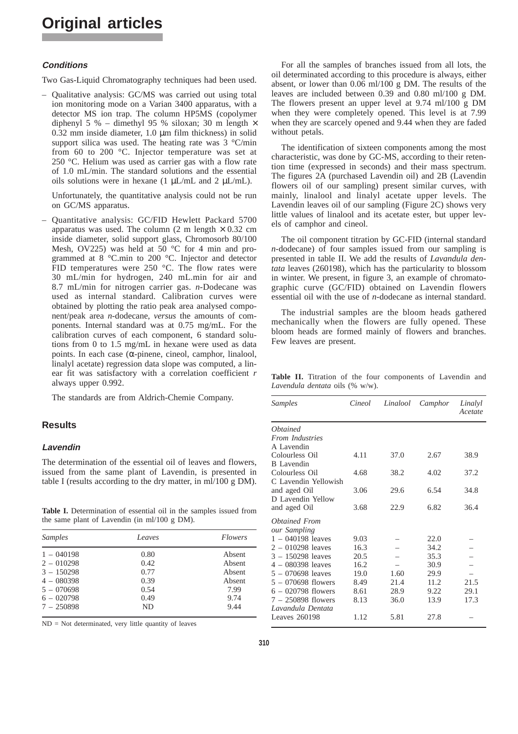# **Original articles**

#### **Conditions**

Two Gas-Liquid Chromatography techniques had been used.

– Qualitative analysis: GC/MS was carried out using total ion monitoring mode on a Varian 3400 apparatus, with a detector MS ion trap. The column HP5MS (copolymer diphenyl 5 % – dimethyl 95 % siloxan; 30 m length  $\times$ 0.32 mm inside diameter, 1.0 µm film thickness) in solid support silica was used. The heating rate was 3 °C/min from 60 to 200 °C. Injector temperature was set at 250 °C. Helium was used as carrier gas with a flow rate of 1.0 mL/min. The standard solutions and the essential oils solutions were in hexane (1  $\mu L/mL$  and 2  $\mu L/mL$ ).

Unfortunately, the quantitative analysis could not be run on GC/MS apparatus.

– Quantitative analysis: GC/FID Hewlett Packard 5700 apparatus was used. The column (2 m length  $\times$  0.32 cm inside diameter, solid support glass, Chromosorb 80/100 Mesh, OV225) was held at 50 °C for 4 min and programmed at 8 °C.min to 200 °C. Injector and detector FID temperatures were 250 °C. The flow rates were 30 mL/min for hydrogen, 240 mL.min for air and 8.7 mL/min for nitrogen carrier gas. *n*-Dodecane was used as internal standard. Calibration curves were obtained by plotting the ratio peak area analysed component/peak area *n*-dodecane, *versus* the amounts of components. Internal standard was at 0.75 mg/mL. For the calibration curves of each component, 6 standard solutions from 0 to 1.5 mg/mL in hexane were used as data points. In each case (α-pinene, cineol, camphor, linalool, linalyl acetate) regression data slope was computed, a linear fit was satisfactory with a correlation coefficient *r* always upper 0.992.

The standards are from Aldrich-Chemie Company.

## **Results**

#### **Lavendin**

The determination of the essential oil of leaves and flowers, issued from the same plant of Lavendin, is presented in table I (results according to the dry matter, in ml/100 g DM).

Table I. Determination of essential oil in the samples issued from the same plant of Lavendin (in ml/100 g DM).

| Samples      | Leaves | <i>Flowers</i> |  |
|--------------|--------|----------------|--|
| $1 - 040198$ | 0.80   | Absent         |  |
| $2 - 010298$ | 0.42   | Absent         |  |
| $3 - 150298$ | 0.77   | Absent         |  |
| $4 - 080398$ | 0.39   | Absent         |  |
| $5 - 070698$ | 0.54   | 7.99           |  |
| $6 - 020798$ | 0.49   | 9.74           |  |
| $7 - 250898$ | ND.    | 9.44           |  |

ND = Not determinated, very little quantity of leaves

For all the samples of branches issued from all lots, the oil determinated according to this procedure is always, either absent, or lower than 0.06 ml/100 g DM. The results of the leaves are included between 0.39 and 0.80 ml/100 g DM. The flowers present an upper level at 9.74 ml/100 g DM when they were completely opened. This level is at 7.99 when they are scarcely opened and 9.44 when they are faded without petals.

The identification of sixteen components among the most characteristic, was done by GC-MS, according to their retention time (expressed in seconds) and their mass spectrum. The figures 2A (purchased Lavendin oil) and 2B (Lavendin flowers oil of our sampling) present similar curves, with mainly, linalool and linalyl acetate upper levels. The Lavendin leaves oil of our sampling (Figure 2C) shows very little values of linalool and its acetate ester, but upper levels of camphor and cineol.

The oil component titration by GC-FID (internal standard *n*-dodecane) of four samples issued from our sampling is presented in table II. We add the results of *Lavandula dentata* leaves (260198), which has the particularity to blossom in winter. We present, in figure 3, an example of chromatographic curve (GC/FID) obtained on Lavendin flowers essential oil with the use of *n*-dodecane as internal standard.

The industrial samples are the bloom heads gathered mechanically when the flowers are fully opened. These bloom heads are formed mainly of flowers and branches. Few leaves are present.

Table II. Titration of the four components of Lavendin and *Lavendula dentata* oils (% w/w).

| Samples                | Cineol | Linalool | Camphor | Linalyl<br>Acetate |
|------------------------|--------|----------|---------|--------------------|
| <i><b>Obtained</b></i> |        |          |         |                    |
| From Industries        |        |          |         |                    |
| A Lavendin             |        |          |         |                    |
| Colourless Oil         | 4.11   | 37.0     | 2.67    | 38.9               |
| <b>B</b> Lavendin      |        |          |         |                    |
| Colourless Oil         | 4.68   | 38.2     | 4.02    | 37.2               |
| C Lavendin Yellowish   |        |          |         |                    |
| and aged Oil           | 3.06   | 29.6     | 6.54    | 34.8               |
| D Lavendin Yellow      |        |          |         |                    |
| and aged Oil           | 3.68   | 22.9     | 6.82    | 36.4               |
| Obtained From          |        |          |         |                    |
| our Sampling           |        |          |         |                    |
| $1 - 040198$ leaves    | 9.03   |          | 22.0    |                    |
| $2 - 010298$ leaves    | 16.3   |          | 34.2    |                    |
| $3 - 150298$ leaves    | 20.5   |          | 35.3    |                    |
| $4 - 080398$ leaves    | 16.2   |          | 30.9    |                    |
| $5 - 070698$ leaves    | 19.0   | 1.60     | 29.9    |                    |
| $5 - 070698$ flowers   | 8.49   | 21.4     | 11.2    | 21.5               |
| $6 - 020798$ flowers   | 8.61   | 28.9     | 9.22    | 29.1               |
| $7 - 250898$ flowers   | 8.13   | 36.0     | 13.9    | 17.3               |
| Lavandula Dentata      |        |          |         |                    |
| Leaves 260198          | 1.12   | 5.81     | 27.8    |                    |
|                        |        |          |         |                    |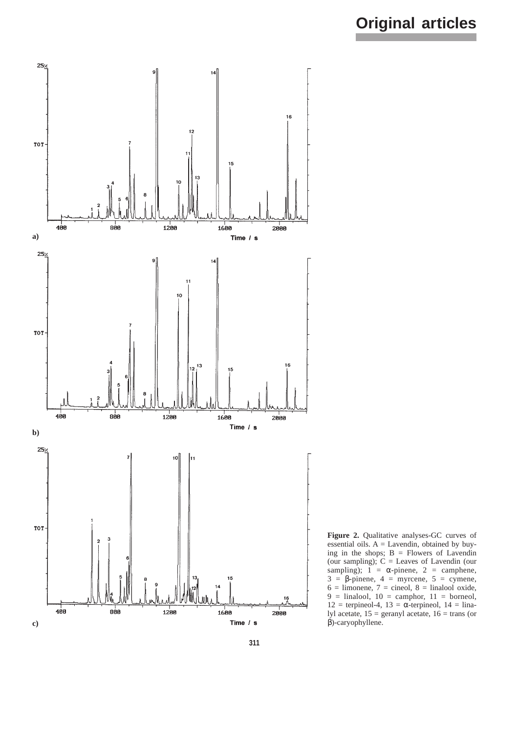

**Figure 2.** Qualitative analyses-GC curves of essential oils.  $A =$  Lavendin, obtained by buying in the shops;  $B =$  Flowers of Lavendin (our sampling);  $C =$  Leaves of Lavendin (our sampling);  $1 = \alpha$ -pinene,  $2 = \text{camphene}$ ,  $3 = \beta$ -pinene,  $4 = \text{myrcene}$ ,  $5 = \text{cymene}$ ,  $6 =$  limonene,  $7 =$  cineol,  $8 =$  linalool oxide,  $9 =$  linalool,  $10 =$  camphor,  $11 =$  borneol,  $12 =$  terpineol-4,  $13 = \alpha$ -terpineol,  $14 = \text{lina}$ lyl acetate,  $15 =$  geranyl acetate,  $16 =$  trans (or β)-caryophyllene.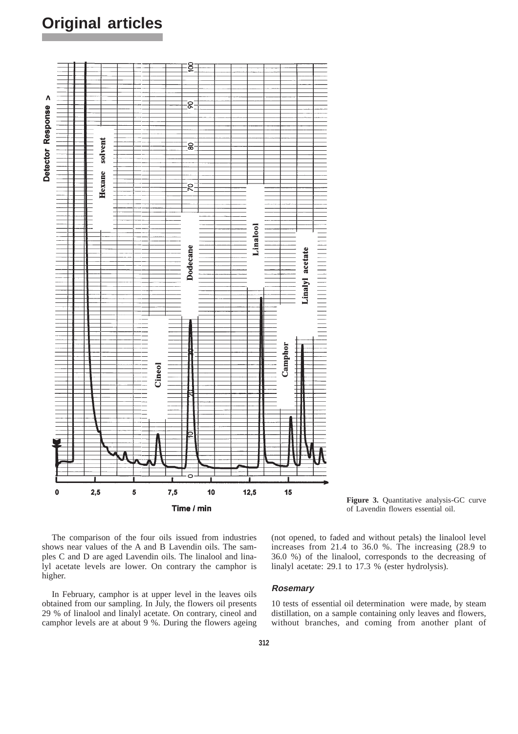# **Original articles**



**Figure 3.** Quantitative analysis-GC curve of Lavendin flowers essential oil.

The comparison of the four oils issued from industries shows near values of the A and B Lavendin oils. The samples C and D are aged Lavendin oils. The linalool and linalyl acetate levels are lower. On contrary the camphor is higher.

In February, camphor is at upper level in the leaves oils obtained from our sampling. In July, the flowers oil presents 29 % of linalool and linalyl acetate. On contrary, cineol and camphor levels are at about 9 %. During the flowers ageing (not opened, to faded and without petals) the linalool level increases from 21.4 to 36.0 %. The increasing (28.9 to 36.0 %) of the linalool, corresponds to the decreasing of linalyl acetate: 29.1 to 17.3 % (ester hydrolysis).

#### **Rosemary**

10 tests of essential oil determination were made, by steam distillation, on a sample containing only leaves and flowers, without branches, and coming from another plant of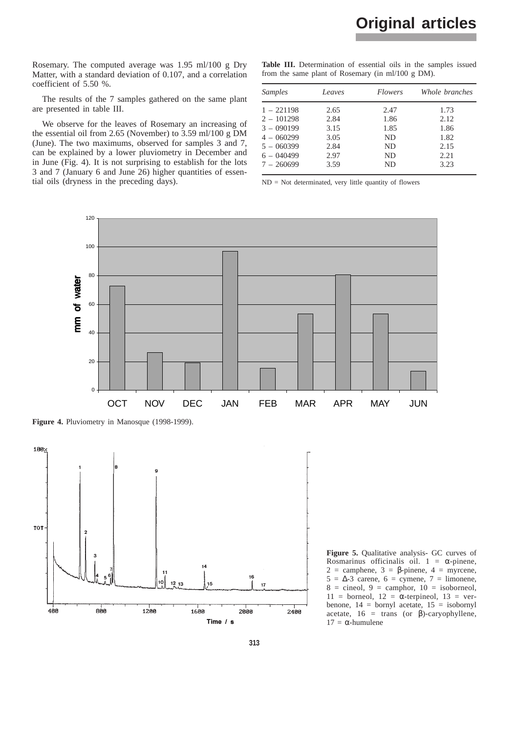Rosemary. The computed average was 1.95 ml/100 g Dry Matter, with a standard deviation of 0.107, and a correlation coefficient of 5.50 %.

The results of the 7 samples gathered on the same plant are presented in table III.

We observe for the leaves of Rosemary an increasing of the essential oil from 2.65 (November) to 3.59 ml/100 g DM (June). The two maximums, observed for samples 3 and 7, can be explained by a lower pluviometry in December and in June (Fig. 4). It is not surprising to establish for the lots 3 and 7 (January 6 and June 26) higher quantities of essential oils (dryness in the preceding days).

Table III. Determination of essential oils in the samples issued from the same plant of Rosemary (in ml/100 g DM).

| <b>Samples</b> | Leaves | <i>Flowers</i> | Whole branches |
|----------------|--------|----------------|----------------|
| $1 - 221198$   | 2.65   | 2.47           | 1.73           |
| $2 - 101298$   | 2.84   | 1.86           | 2.12           |
| $3 - 090199$   | 3.15   | 1.85           | 1.86           |
| $4 - 060299$   | 3.05   | ND.            | 1.82           |
| $5 - 060399$   | 2.84   | ND.            | 2.15           |
| $6 - 040499$   | 2.97   | ND.            | 2.21           |
| $7 - 260699$   | 3.59   | ND             | 3.23           |

ND = Not determinated, very little quantity of flowers



**Figure 4.** Pluviometry in Manosque (1998-1999).



**Figure 5.** Qualitative analysis- GC curves of Rosmarinus officinalis oil.  $1 = \alpha$ -pinene, 2 = camphene,  $3 = \beta$ -pinene,  $4 = \text{nyrcene}$ ,  $5 = \Delta - 3$  carene,  $6 =$  cymene,  $7 =$  limonene,  $8 =$  cineol,  $9 =$  camphor,  $10 =$  isoborneol,  $11 =$  borneol,  $12 = \alpha$ -terpineol,  $13 =$  verbenone, 14 = bornyl acetate, 15 = isobornyl acetate,  $16 = \text{trans}$  (or  $\beta$ )-caryophyllene,  $17 = α$ -humulene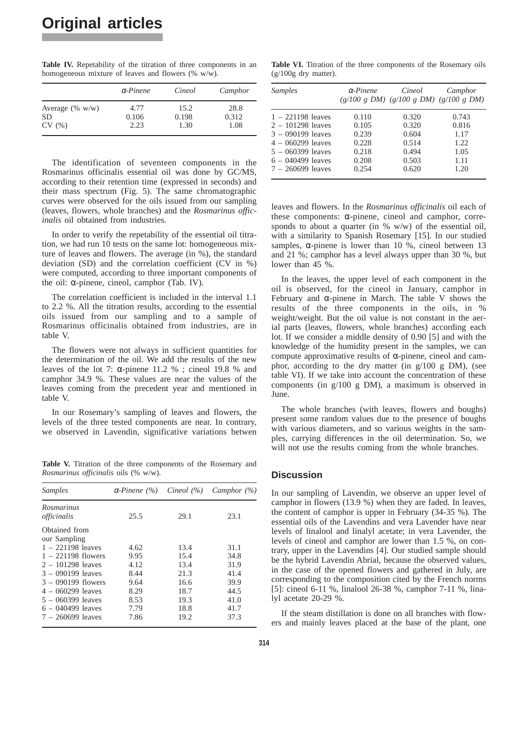**Table IV.** Repetability of the titration of three components in an homogeneous mixture of leaves and flowers (% w/w).

|                                 | $\alpha$ -Pinene | Cineol        | Camphor       |
|---------------------------------|------------------|---------------|---------------|
| Average $(\% w/w)$<br><b>SD</b> | 4.77<br>0.106    | 15.2<br>0.198 | 28.8<br>0.312 |
| CV(%)                           | 2.23             | 1.30          | 1.08          |

The identification of seventeen components in the Rosmarinus officinalis essential oil was done by GC/MS, according to their retention time (expressed in seconds) and their mass spectrum (Fig. 5). The same chromatographic curves were observed for the oils issued from our sampling (leaves, flowers, whole branches) and the *Rosmarinus officinalis* oil obtained from industries.

In order to verify the repetability of the essential oil titration, we had run 10 tests on the same lot: homogeneous mixture of leaves and flowers. The average (in %), the standard deviation (SD) and the correlation coefficient (CV in %) were computed, according to three important components of the oil: α-pinene, cineol, camphor (Tab. IV).

The correlation coefficient is included in the interval 1.1 to 2.2 %. All the titration results, according to the essential oils issued from our sampling and to a sample of Rosmarinus officinalis obtained from industries, are in table V.

The flowers were not always in sufficient quantities for the determination of the oil. We add the results of the new leaves of the lot 7:  $\alpha$ -pinene 11.2 %; cine 19.8 % and camphor 34.9 %. These values are near the values of the leaves coming from the precedent year and mentioned in table V.

In our Rosemary's sampling of leaves and flowers, the levels of the three tested components are near. In contrary, we observed in Lavendin, significative variations betwen

Table V. Titration of the three components of the Rosemary and *Rosmarinus officinalis* oils (% w/w).

| <b>Samples</b>                   | $\alpha$ -Pinene (%) | Cineol $(\% )$ | Camphor $(\% )$ |
|----------------------------------|----------------------|----------------|-----------------|
| <i>Rosmarinus</i><br>officinalis | 25.5                 | 29.1           | 23.1            |
| Obtained from<br>our Sampling    |                      |                |                 |
| $1 - 221198$ leaves              | 4.62                 | 13.4           | 31.1            |
| $1 - 221198$ flowers             | 9.95                 | 15.4           | 34.8            |
| $2 - 101298$ leaves              | 4.12                 | 13.4           | 31.9            |
| $3 - 090199$ leaves              | 8.44                 | 21.3           | 41.4            |
| $3 - 090199$ flowers             | 9.64                 | 16.6           | 39.9            |
| $4 - 060299$ leaves              | 8.29                 | 18.7           | 44.5            |
| $5 - 060399$ leaves              | 8.53                 | 19.3           | 41.0            |
| $6 - 040499$ leaves              | 7.79                 | 18.8           | 41.7            |
| $7 - 260699$ leaves              | 7.86                 | 19.2           | 37.3            |

Table VI. Titration of the three components of the Rosemary oils  $(g/100g$  dry matter).

| Samples             | $\alpha$ -Pinene | Cineol<br>$(g/100 g DM)$ $(g/100 g DM)$ $(g/100 g DM)$ | Camphor |
|---------------------|------------------|--------------------------------------------------------|---------|
| $1 - 221198$ leaves | 0.110            | 0.320                                                  | 0.743   |
| $2 - 101298$ leaves | 0.105            | 0.320                                                  | 0.816   |
| $3 - 090199$ leaves | 0.239            | 0.604                                                  | 1.17    |
| $4 - 060299$ leaves | 0.228            | 0.514                                                  | 1.22    |
| $5 - 060399$ leaves | 0.218            | 0.494                                                  | 1.05    |
| $6 - 040499$ leaves | 0.208            | 0.503                                                  | 1.11    |
| $7 - 260699$ leaves | 0.254            | 0.620                                                  | 1.20    |

leaves and flowers. In the *Rosmarinus officinalis* oil each of these components: α-pinene, cineol and camphor, corresponds to about a quarter (in  $\%$  w/w) of the essential oil, with a similarity to Spanish Rosemary [15]. In our studied samples,  $\alpha$ -pinene is lower than 10 %, cineol between 13 and 21 %; camphor has a level always upper than 30 %, but lower than 45 %.

In the leaves, the upper level of each component in the oil is observed, for the cineol in January, camphor in February and α-pinene in March. The table V shows the results of the three components in the oils, in % weight/weight. But the oil value is not constant in the aerial parts (leaves, flowers, whole branches) according each lot. If we consider a middle density of 0.90 [5] and with the knowledge of the humidity present in the samples, we can compute approximative results of α-pinene, cineol and camphor, according to the dry matter (in g/100 g DM), (see table VI). If we take into account the concentration of these components (in g/100 g DM), a maximum is observed in **June.** 

The whole branches (with leaves, flowers and boughs) present some random values due to the presence of boughs with various diameters, and so various weights in the samples, carrying differences in the oil determination. So, we will not use the results coming from the whole branches.

# **Discussion**

In our sampling of Lavendin, we observe an upper level of camphor in flowers (13.9 %) when they are faded. In leaves, the content of camphor is upper in February (34-35 %). The essential oils of the Lavendins and vera Lavender have near levels of linalool and linalyl acetate; in vera Lavender, the levels of cineol and camphor are lower than 1.5 %, on contrary, upper in the Lavendins [4]. Our studied sample should be the hybrid Lavendin Abrial, because the observed values, in the case of the opened flowers and gathered in July, are corresponding to the composition cited by the French norms [5]: cineol 6-11 %, linalool 26-38 %, camphor 7-11 %, linalyl acetate 20-29 %.

If the steam distillation is done on all branches with flowers and mainly leaves placed at the base of the plant, one